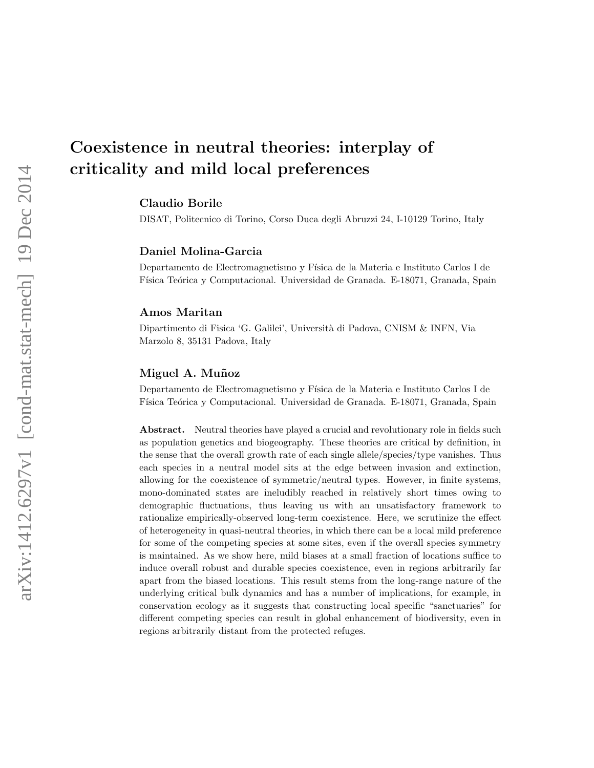# Coexistence in neutral theories: interplay of criticality and mild local preferences

Claudio Borile

DISAT, Politecnico di Torino, Corso Duca degli Abruzzi 24, I-10129 Torino, Italy

#### Daniel Molina-Garcia

Departamento de Electromagnetismo y Física de la Materia e Instituto Carlos I de Física Teórica y Computacional. Universidad de Granada. E-18071, Granada, Spain

#### Amos Maritan

Dipartimento di Fisica 'G. Galilei', Università di Padova, CNISM & INFN, Via Marzolo 8, 35131 Padova, Italy

#### Miguel A. Muñoz

Departamento de Electromagnetismo y Física de la Materia e Instituto Carlos I de Física Teórica y Computacional. Universidad de Granada. E-18071, Granada, Spain

Abstract. Neutral theories have played a crucial and revolutionary role in fields such as population genetics and biogeography. These theories are critical by definition, in the sense that the overall growth rate of each single allele/species/type vanishes. Thus each species in a neutral model sits at the edge between invasion and extinction, allowing for the coexistence of symmetric/neutral types. However, in finite systems, mono-dominated states are ineludibly reached in relatively short times owing to demographic fluctuations, thus leaving us with an unsatisfactory framework to rationalize empirically-observed long-term coexistence. Here, we scrutinize the effect of heterogeneity in quasi-neutral theories, in which there can be a local mild preference for some of the competing species at some sites, even if the overall species symmetry is maintained. As we show here, mild biases at a small fraction of locations suffice to induce overall robust and durable species coexistence, even in regions arbitrarily far apart from the biased locations. This result stems from the long-range nature of the underlying critical bulk dynamics and has a number of implications, for example, in conservation ecology as it suggests that constructing local specific "sanctuaries" for different competing species can result in global enhancement of biodiversity, even in regions arbitrarily distant from the protected refuges.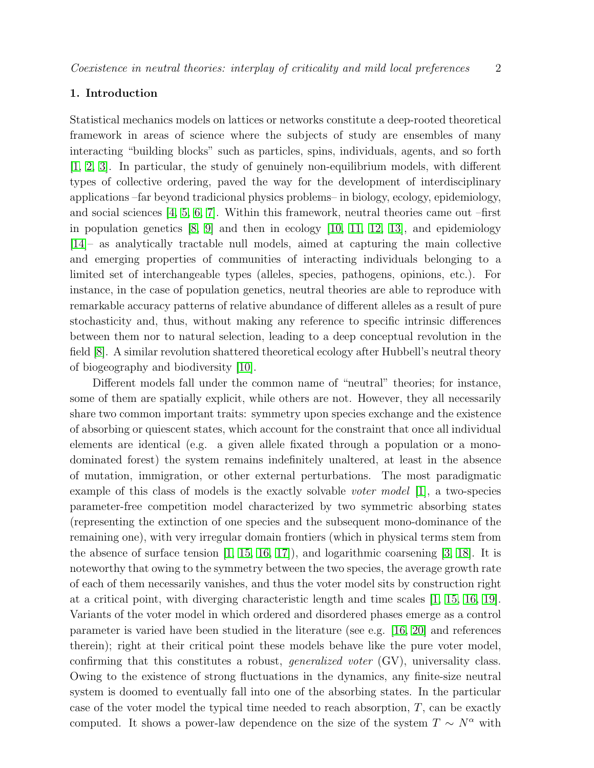# 1. Introduction

Statistical mechanics models on lattices or networks constitute a deep-rooted theoretical framework in areas of science where the subjects of study are ensembles of many interacting "building blocks" such as particles, spins, individuals, agents, and so forth [\[1,](#page-10-0) [2,](#page-10-1) [3\]](#page-10-2). In particular, the study of genuinely non-equilibrium models, with different types of collective ordering, paved the way for the development of interdisciplinary applications –far beyond tradicional physics problems– in biology, ecology, epidemiology, and social sciences [\[4,](#page-10-3) [5,](#page-10-4) [6,](#page-10-5) [7\]](#page-10-6). Within this framework, neutral theories came out –first in population genetics [\[8,](#page-10-7) [9\]](#page-10-8) and then in ecology [\[10,](#page-10-9) [11,](#page-10-10) [12,](#page-10-11) [13\]](#page-10-12), and epidemiology [\[14\]](#page-10-13)– as analytically tractable null models, aimed at capturing the main collective and emerging properties of communities of interacting individuals belonging to a limited set of interchangeable types (alleles, species, pathogens, opinions, etc.). For instance, in the case of population genetics, neutral theories are able to reproduce with remarkable accuracy patterns of relative abundance of different alleles as a result of pure stochasticity and, thus, without making any reference to specific intrinsic differences between them nor to natural selection, leading to a deep conceptual revolution in the field [\[8\]](#page-10-7). A similar revolution shattered theoretical ecology after Hubbell's neutral theory of biogeography and biodiversity [\[10\]](#page-10-9).

Different models fall under the common name of "neutral" theories; for instance, some of them are spatially explicit, while others are not. However, they all necessarily share two common important traits: symmetry upon species exchange and the existence of absorbing or quiescent states, which account for the constraint that once all individual elements are identical (e.g. a given allele fixated through a population or a monodominated forest) the system remains indefinitely unaltered, at least in the absence of mutation, immigration, or other external perturbations. The most paradigmatic example of this class of models is the exactly solvable voter model [\[1\]](#page-10-0), a two-species parameter-free competition model characterized by two symmetric absorbing states (representing the extinction of one species and the subsequent mono-dominance of the remaining one), with very irregular domain frontiers (which in physical terms stem from the absence of surface tension [\[1,](#page-10-0) [15,](#page-10-14) [16,](#page-10-15) [17\]](#page-10-16)), and logarithmic coarsening [\[3,](#page-10-2) [18\]](#page-10-17). It is noteworthy that owing to the symmetry between the two species, the average growth rate of each of them necessarily vanishes, and thus the voter model sits by construction right at a critical point, with diverging characteristic length and time scales [\[1,](#page-10-0) [15,](#page-10-14) [16,](#page-10-15) [19\]](#page-10-18). Variants of the voter model in which ordered and disordered phases emerge as a control parameter is varied have been studied in the literature (see e.g. [\[16,](#page-10-15) [20\]](#page-10-19) and references therein); right at their critical point these models behave like the pure voter model, confirming that this constitutes a robust, generalized voter (GV), universality class. Owing to the existence of strong fluctuations in the dynamics, any finite-size neutral system is doomed to eventually fall into one of the absorbing states. In the particular case of the voter model the typical time needed to reach absorption,  $T$ , can be exactly computed. It shows a power-law dependence on the size of the system  $T \sim N^{\alpha}$  with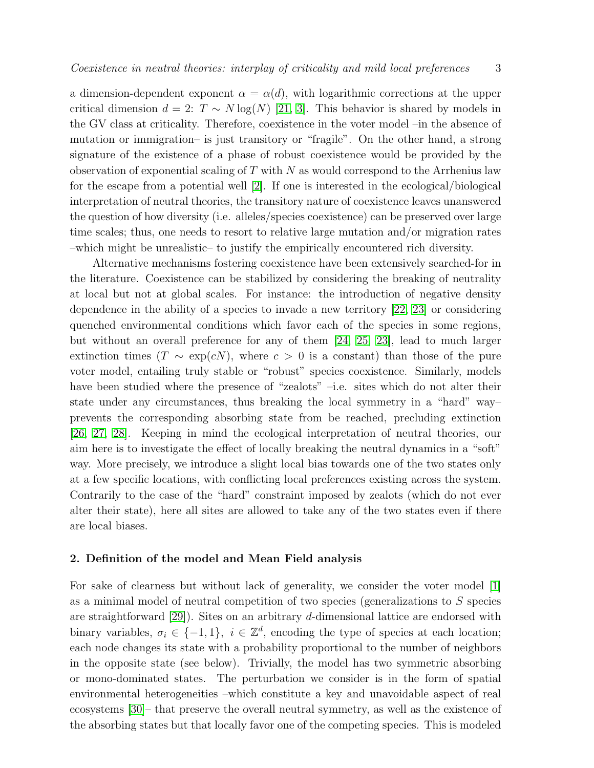a dimension-dependent exponent  $\alpha = \alpha(d)$ , with logarithmic corrections at the upper critical dimension  $d = 2$ :  $T \sim N \log(N)$  [\[21,](#page-10-20) [3\]](#page-10-2). This behavior is shared by models in the GV class at criticality. Therefore, coexistence in the voter model –in the absence of mutation or immigration– is just transitory or "fragile". On the other hand, a strong signature of the existence of a phase of robust coexistence would be provided by the observation of exponential scaling of  $T$  with  $N$  as would correspond to the Arrhenius law for the escape from a potential well [\[2\]](#page-10-1). If one is interested in the ecological/biological interpretation of neutral theories, the transitory nature of coexistence leaves unanswered the question of how diversity (i.e. alleles/species coexistence) can be preserved over large time scales; thus, one needs to resort to relative large mutation and/or migration rates –which might be unrealistic– to justify the empirically encountered rich diversity.

Alternative mechanisms fostering coexistence have been extensively searched-for in the literature. Coexistence can be stabilized by considering the breaking of neutrality at local but not at global scales. For instance: the introduction of negative density dependence in the ability of a species to invade a new territory [\[22,](#page-10-21) [23\]](#page-10-22) or considering quenched environmental conditions which favor each of the species in some regions, but without an overall preference for any of them [\[24,](#page-10-23) [25,](#page-10-24) [23\]](#page-10-22), lead to much larger extinction times (T  $\sim \exp(cN)$ , where  $c > 0$  is a constant) than those of the pure voter model, entailing truly stable or "robust" species coexistence. Similarly, models have been studied where the presence of "zealots" –i.e. sites which do not alter their state under any circumstances, thus breaking the local symmetry in a "hard" way– prevents the corresponding absorbing state from be reached, precluding extinction [\[26,](#page-11-0) [27,](#page-11-1) [28\]](#page-11-2). Keeping in mind the ecological interpretation of neutral theories, our aim here is to investigate the effect of locally breaking the neutral dynamics in a "soft" way. More precisely, we introduce a slight local bias towards one of the two states only at a few specific locations, with conflicting local preferences existing across the system. Contrarily to the case of the "hard" constraint imposed by zealots (which do not ever alter their state), here all sites are allowed to take any of the two states even if there are local biases.

#### 2. Definition of the model and Mean Field analysis

For sake of clearness but without lack of generality, we consider the voter model [\[1\]](#page-10-0) as a minimal model of neutral competition of two species (generalizations to S species are straightforward [\[29\]](#page-11-3)). Sites on an arbitrary d-dimensional lattice are endorsed with binary variables,  $\sigma_i \in \{-1, 1\}$ ,  $i \in \mathbb{Z}^d$ , encoding the type of species at each location; each node changes its state with a probability proportional to the number of neighbors in the opposite state (see below). Trivially, the model has two symmetric absorbing or mono-dominated states. The perturbation we consider is in the form of spatial environmental heterogeneities –which constitute a key and unavoidable aspect of real ecosystems [\[30\]](#page-11-4)– that preserve the overall neutral symmetry, as well as the existence of the absorbing states but that locally favor one of the competing species. This is modeled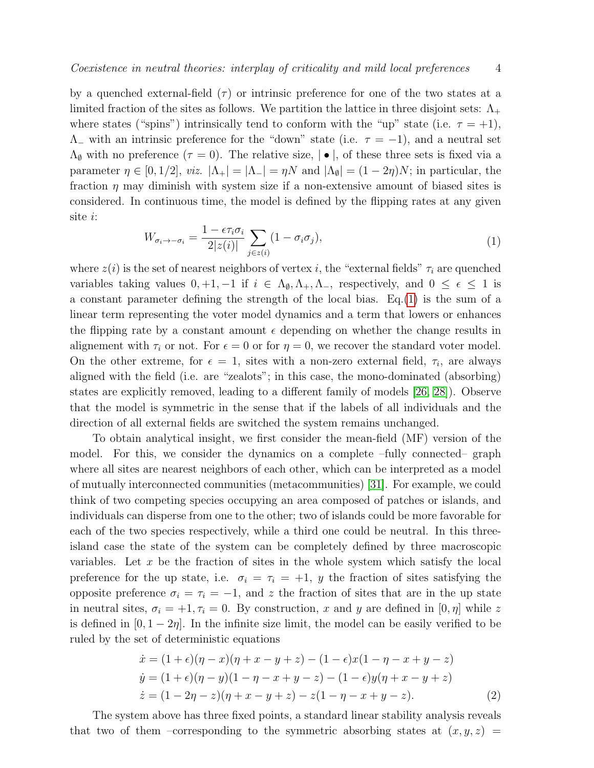by a quenched external-field  $(\tau)$  or intrinsic preference for one of the two states at a limited fraction of the sites as follows. We partition the lattice in three disjoint sets:  $\Lambda_{+}$ where states ("spins") intrinsically tend to conform with the "up" state (i.e.  $\tau = +1$ ),  $\Lambda$ <sub>-</sub> with an intrinsic preference for the "down" state (i.e.  $\tau = -1$ ), and a neutral set  $\Lambda_{\emptyset}$  with no preference  $(\tau = 0)$ . The relative size,  $|\bullet|$ , of these three sets is fixed via a parameter  $\eta \in [0, 1/2]$ , *viz.*  $|\Lambda_+| = |\Lambda_-| = \eta N$  and  $|\Lambda_0| = (1 - 2\eta)N$ ; in particular, the fraction  $\eta$  may diminish with system size if a non-extensive amount of biased sites is considered. In continuous time, the model is defined by the flipping rates at any given site i:

<span id="page-3-0"></span>
$$
W_{\sigma_i \to -\sigma_i} = \frac{1 - \epsilon \tau_i \sigma_i}{2|z(i)|} \sum_{j \in z(i)} (1 - \sigma_i \sigma_j), \tag{1}
$$

where  $z(i)$  is the set of nearest neighbors of vertex i, the "external fields"  $\tau_i$  are quenched variables taking values  $0, +1, -1$  if  $i \in \Lambda_{\emptyset}, \Lambda_{+}, \Lambda_{-}$ , respectively, and  $0 \leq \epsilon \leq 1$  is a constant parameter defining the strength of the local bias. Eq.[\(1\)](#page-3-0) is the sum of a linear term representing the voter model dynamics and a term that lowers or enhances the flipping rate by a constant amount  $\epsilon$  depending on whether the change results in alignement with  $\tau_i$  or not. For  $\epsilon = 0$  or for  $\eta = 0$ , we recover the standard voter model. On the other extreme, for  $\epsilon = 1$ , sites with a non-zero external field,  $\tau_i$ , are always aligned with the field (i.e. are "zealots"; in this case, the mono-dominated (absorbing) states are explicitly removed, leading to a different family of models [\[26,](#page-11-0) [28\]](#page-11-2)). Observe that the model is symmetric in the sense that if the labels of all individuals and the direction of all external fields are switched the system remains unchanged.

To obtain analytical insight, we first consider the mean-field (MF) version of the model. For this, we consider the dynamics on a complete –fully connected– graph where all sites are nearest neighbors of each other, which can be interpreted as a model of mutually interconnected communities (metacommunities) [\[31\]](#page-11-5). For example, we could think of two competing species occupying an area composed of patches or islands, and individuals can disperse from one to the other; two of islands could be more favorable for each of the two species respectively, while a third one could be neutral. In this threeisland case the state of the system can be completely defined by three macroscopic variables. Let  $x$  be the fraction of sites in the whole system which satisfy the local preference for the up state, i.e.  $\sigma_i = \tau_i = +1$ , y the fraction of sites satisfying the opposite preference  $\sigma_i = \tau_i = -1$ , and z the fraction of sites that are in the up state in neutral sites,  $\sigma_i = +1, \tau_i = 0$ . By construction, x and y are defined in  $[0, \eta]$  while z is defined in  $[0, 1 - 2\eta]$ . In the infinite size limit, the model can be easily verified to be ruled by the set of deterministic equations

$$
\begin{aligned}\n\dot{x} &= (1+\epsilon)(\eta - x)(\eta + x - y + z) - (1-\epsilon)x(1-\eta - x + y - z) \\
\dot{y} &= (1+\epsilon)(\eta - y)(1-\eta - x + y - z) - (1-\epsilon)y(\eta + x - y + z) \\
\dot{z} &= (1-2\eta - z)(\eta + x - y + z) - z(1-\eta - x + y - z).\n\end{aligned} \tag{2}
$$

The system above has three fixed points, a standard linear stability analysis reveals that two of them –corresponding to the symmetric absorbing states at  $(x, y, z)$  =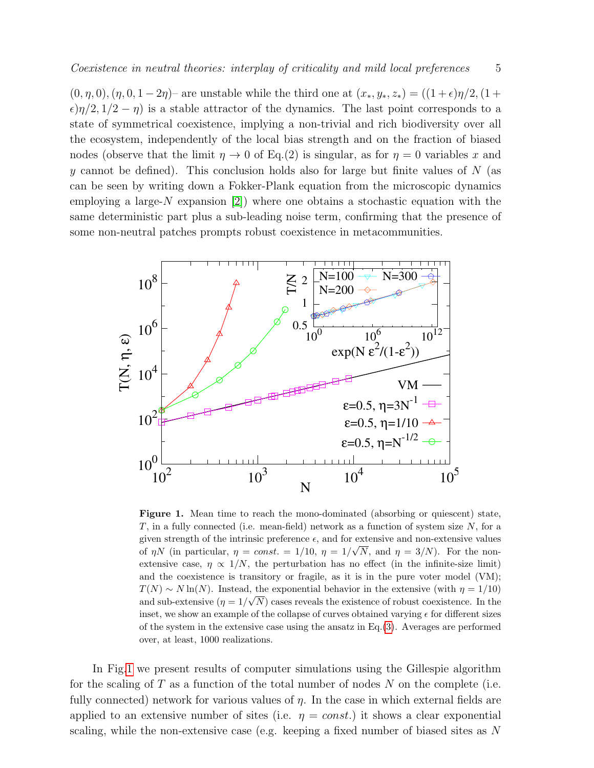$(0, \eta, 0),(\eta, 0, 1 - 2\eta)$  are unstable while the third one at  $(x_*, y_*, z_*) = ((1 + \epsilon)\eta/2, (1 +$  $\epsilon$ ) $\eta/2$ ,  $1/2 - \eta$ ) is a stable attractor of the dynamics. The last point corresponds to a state of symmetrical coexistence, implying a non-trivial and rich biodiversity over all the ecosystem, independently of the local bias strength and on the fraction of biased nodes (observe that the limit  $\eta \to 0$  of Eq.(2) is singular, as for  $\eta = 0$  variables x and y cannot be defined). This conclusion holds also for large but finite values of  $N$  (as can be seen by writing down a Fokker-Plank equation from the microscopic dynamics employing a large- $N$  expansion [\[2\]](#page-10-1)) where one obtains a stochastic equation with the same deterministic part plus a sub-leading noise term, confirming that the presence of some non-neutral patches prompts robust coexistence in metacommunities.



<span id="page-4-0"></span>Figure 1. Mean time to reach the mono-dominated (absorbing or quiescent) state,  $T$ , in a fully connected (i.e. mean-field) network as a function of system size  $N$ , for a given strength of the intrinsic preference  $\epsilon$ , and for extensive and non-extensive values of  $\eta N$  (in particular,  $\eta = const. = 1/10$ ,  $\eta = 1/\sqrt{N}$ , and  $\eta = 3/N$ ). For the nonextensive case,  $\eta \propto 1/N$ , the perturbation has no effect (in the infinite-size limit) and the coexistence is transitory or fragile, as it is in the pure voter model (VM);  $T(N) \sim N \ln(N)$ . Instead, the exponential behavior in the extensive (with  $\eta = 1/10$ ) and sub-extensive  $(\eta = 1)$ √ N) cases reveals the existence of robust coexistence. In the inset, we show an example of the collapse of curves obtained varying  $\epsilon$  for different sizes of the system in the extensive case using the ansatz in  $Eq.(3)$  $Eq.(3)$ . Averages are performed over, at least, 1000 realizations.

In Fig[.1](#page-4-0) we present results of computer simulations using the Gillespie algorithm for the scaling of  $T$  as a function of the total number of nodes  $N$  on the complete (i.e. fully connected) network for various values of  $\eta$ . In the case in which external fields are applied to an extensive number of sites (i.e.  $\eta = const.$ ) it shows a clear exponential scaling, while the non-extensive case (e.g. keeping a fixed number of biased sites as N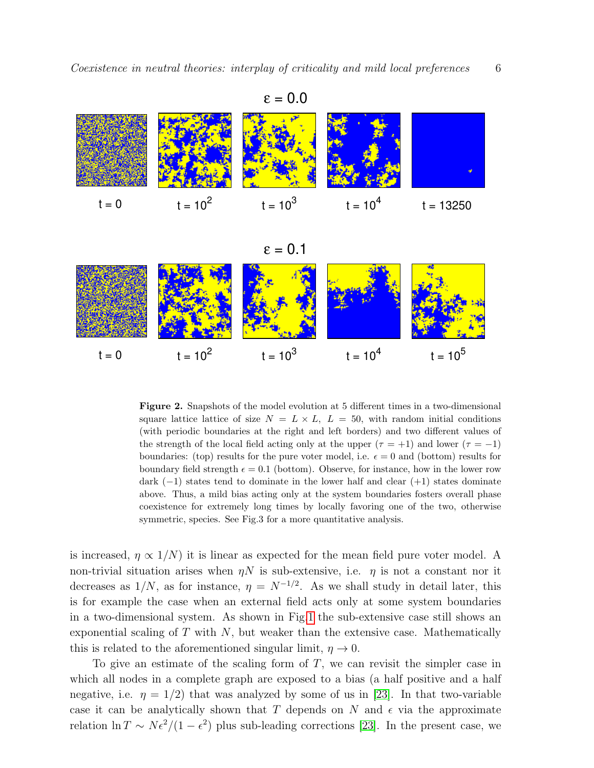

$$
\epsilon=0.1
$$



<span id="page-5-0"></span>Figure 2. Snapshots of the model evolution at 5 different times in a two-dimensional square lattice lattice of size  $N = L \times L$ ,  $L = 50$ , with random initial conditions (with periodic boundaries at the right and left borders) and two different values of the strength of the local field acting only at the upper  $(\tau = +1)$  and lower  $(\tau = -1)$ boundaries: (top) results for the pure voter model, i.e.  $\epsilon = 0$  and (bottom) results for boundary field strength  $\epsilon = 0.1$  (bottom). Observe, for instance, how in the lower row dark  $(-1)$  states tend to dominate in the lower half and clear  $(+1)$  states dominate above. Thus, a mild bias acting only at the system boundaries fosters overall phase coexistence for extremely long times by locally favoring one of the two, otherwise symmetric, species. See Fig.3 for a more quantitative analysis.

is increased,  $\eta \propto 1/N$  it is linear as expected for the mean field pure voter model. A non-trivial situation arises when  $\eta N$  is sub-extensive, i.e.  $\eta$  is not a constant nor it decreases as  $1/N$ , as for instance,  $\eta = N^{-1/2}$ . As we shall study in detail later, this is for example the case when an external field acts only at some system boundaries in a two-dimensional system. As shown in Fig[.1](#page-4-0) the sub-extensive case still shows an exponential scaling of  $T$  with  $N$ , but weaker than the extensive case. Mathematically this is related to the aforementioned singular limit,  $\eta \to 0$ .

To give an estimate of the scaling form of  $T$ , we can revisit the simpler case in which all nodes in a complete graph are exposed to a bias (a half positive and a half negative, i.e.  $\eta = 1/2$  that was analyzed by some of us in [\[23\]](#page-10-22). In that two-variable case it can be analytically shown that T depends on N and  $\epsilon$  via the approximate relation  $\ln T \sim N \epsilon^2/(1-\epsilon^2)$  plus sub-leading corrections [\[23\]](#page-10-22). In the present case, we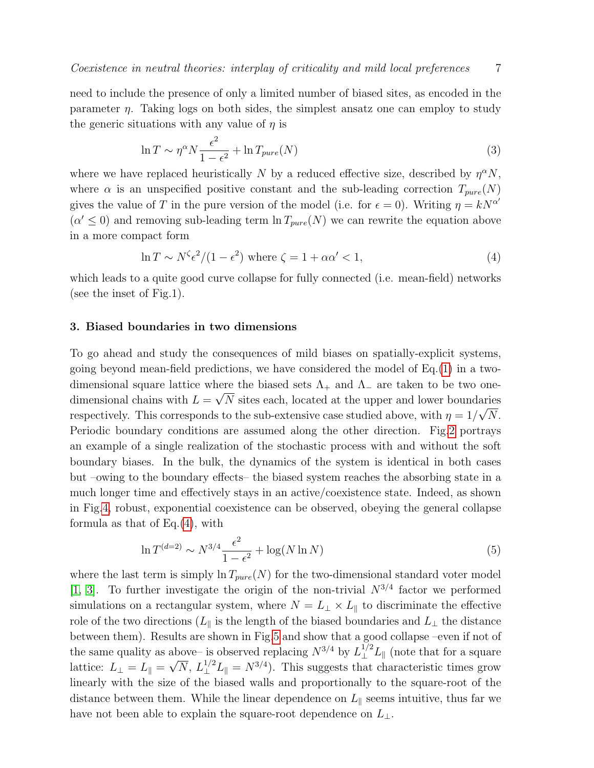need to include the presence of only a limited number of biased sites, as encoded in the parameter  $\eta$ . Taking logs on both sides, the simplest ansatz one can employ to study

<span id="page-6-0"></span>
$$
\ln T \sim \eta^{\alpha} N \frac{\epsilon^2}{1 - \epsilon^2} + \ln T_{pure}(N) \tag{3}
$$

where we have replaced heuristically N by a reduced effective size, described by  $\eta^{\alpha}N$ , where  $\alpha$  is an unspecified positive constant and the sub-leading correction  $T_{pure}(N)$ gives the value of T in the pure version of the model (i.e. for  $\epsilon = 0$ ). Writing  $\eta = kN^{\alpha'}$  $(\alpha' \leq 0)$  and removing sub-leading term  $\ln T_{pure}(N)$  we can rewrite the equation above in a more compact form

<span id="page-6-1"></span>
$$
\ln T \sim N^{\zeta} \epsilon^2 / (1 - \epsilon^2) \text{ where } \zeta = 1 + \alpha \alpha' < 1,
$$
\n(4)

which leads to a quite good curve collapse for fully connected (i.e. mean-field) networks (see the inset of Fig.1).

#### 3. Biased boundaries in two dimensions

the generic situations with any value of  $\eta$  is

To go ahead and study the consequences of mild biases on spatially-explicit systems, going beyond mean-field predictions, we have considered the model of Eq.[\(1\)](#page-3-0) in a twodimensional square lattice where the biased sets  $\Lambda_+$  and  $\Lambda_-$  are taken to be two onedimensional chains with  $L = \sqrt{N}$  sites each, located at the upper and lower boundaries respectively. This corresponds to the sub-extensive case studied above, with  $\eta = 1/\sqrt{N}$ . Periodic boundary conditions are assumed along the other direction. Fig[.2](#page-5-0) portrays an example of a single realization of the stochastic process with and without the soft boundary biases. In the bulk, the dynamics of the system is identical in both cases but –owing to the boundary effects– the biased system reaches the absorbing state in a much longer time and effectively stays in an active/coexistence state. Indeed, as shown in Fig[.4,](#page-8-0) robust, exponential coexistence can be observed, obeying the general collapse formula as that of Eq.[\(4\)](#page-6-1), with

<span id="page-6-2"></span>
$$
\ln T^{(d=2)} \sim N^{3/4} \frac{\epsilon^2}{1 - \epsilon^2} + \log(N \ln N) \tag{5}
$$

where the last term is simply  $\ln T_{pure}(N)$  for the two-dimensional standard voter model [\[1,](#page-10-0) [3\]](#page-10-2). To further investigate the origin of the non-trivial  $N^{3/4}$  factor we performed simulations on a rectangular system, where  $N = L_{\perp} \times L_{\parallel}$  to discriminate the effective role of the two directions ( $L_{\parallel}$  is the length of the biased boundaries and  $L_{\perp}$  the distance between them). Results are shown in Fig[.5](#page-8-1) and show that a good collapse –even if not of the same quality as above– is observed replacing  $N^{3/4}$  by  $L_{\perp}^{1/2}L_{\parallel}$  (note that for a square lattice:  $L_{\perp} = L_{\parallel} = \sqrt{N}$ ,  $L_{\perp}^{1/2} L_{\parallel} = N^{3/4}$ ). This suggests that characteristic times grow linearly with the size of the biased walls and proportionally to the square-root of the distance between them. While the linear dependence on  $L_{\parallel}$  seems intuitive, thus far we have not been able to explain the square-root dependence on  $L_{\perp}$ .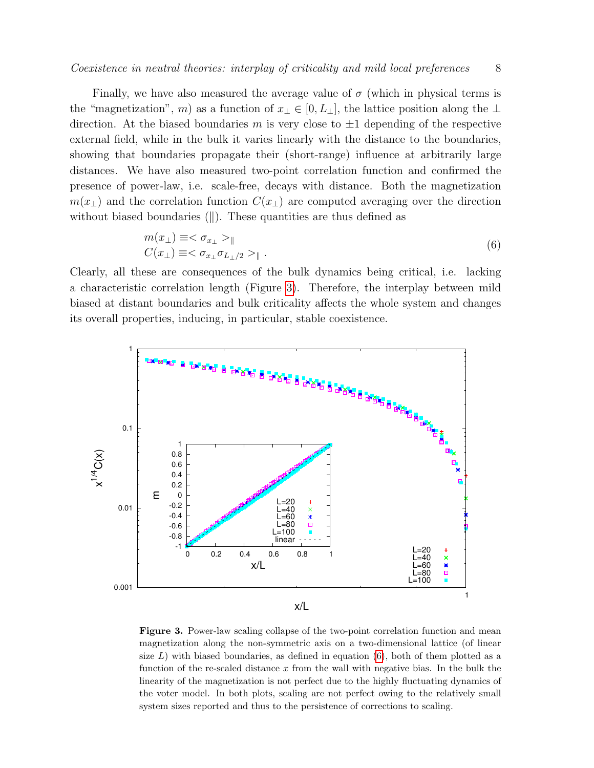Finally, we have also measured the average value of  $\sigma$  (which in physical terms is the "magnetization", m) as a function of  $x_\perp \in [0, L_\perp]$ , the lattice position along the  $\perp$ direction. At the biased boundaries m is very close to  $\pm 1$  depending of the respective external field, while in the bulk it varies linearly with the distance to the boundaries, showing that boundaries propagate their (short-range) influence at arbitrarily large distances. We have also measured two-point correlation function and confirmed the presence of power-law, i.e. scale-free, decays with distance. Both the magnetization  $m(x_+)$  and the correlation function  $C(x_+)$  are computed averaging over the direction without biased boundaries  $(||)$ . These quantities are thus defined as

<span id="page-7-1"></span>
$$
m(x_{\perp}) \equiv \langle \sigma_{x_{\perp}} \rangle_{\parallel}
$$
  
\n
$$
C(x_{\perp}) \equiv \langle \sigma_{x_{\perp}} \sigma_{L_{\perp}/2} \rangle_{\parallel}.
$$
\n(6)

Clearly, all these are consequences of the bulk dynamics being critical, i.e. lacking a characteristic correlation length (Figure [3\)](#page-7-0). Therefore, the interplay between mild biased at distant boundaries and bulk criticality affects the whole system and changes its overall properties, inducing, in particular, stable coexistence.



<span id="page-7-0"></span>Figure 3. Power-law scaling collapse of the two-point correlation function and mean magnetization along the non-symmetric axis on a two-dimensional lattice (of linear size  $L$ ) with biased boundaries, as defined in equation  $(6)$ , both of them plotted as a function of the re-scaled distance  $x$  from the wall with negative bias. In the bulk the linearity of the magnetization is not perfect due to the highly fluctuating dynamics of the voter model. In both plots, scaling are not perfect owing to the relatively small system sizes reported and thus to the persistence of corrections to scaling.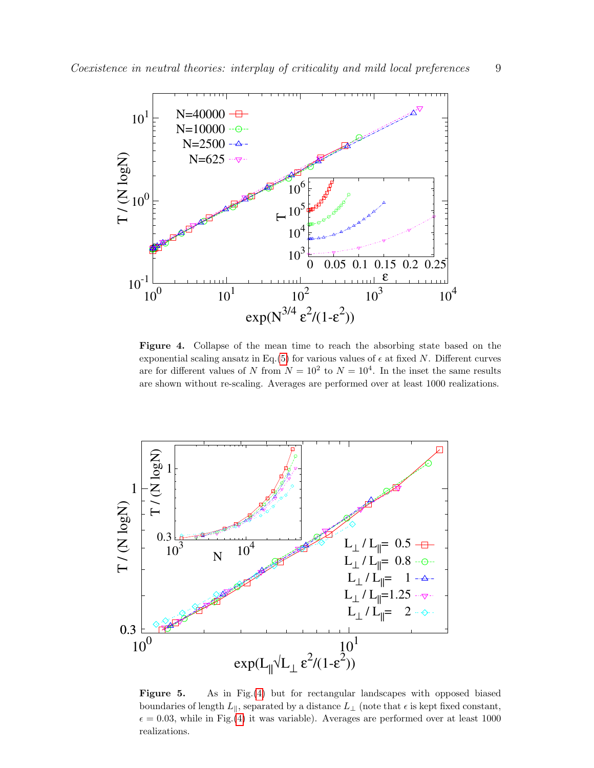

<span id="page-8-0"></span>Figure 4. Collapse of the mean time to reach the absorbing state based on the exponential scaling ansatz in Eq.[\(5\)](#page-6-2) for various values of  $\epsilon$  at fixed N. Different curves are for different values of N from  $N = 10^2$  to  $N = 10^4$ . In the inset the same results are shown without re-scaling. Averages are performed over at least 1000 realizations.



<span id="page-8-1"></span>Figure 5. As in Fig.[\(4\)](#page-8-0) but for rectangular landscapes with opposed biased boundaries of length  $L_{\parallel}$ , separated by a distance  $L_{\perp}$  (note that  $\epsilon$  is kept fixed constant,  $\epsilon = 0.03$ , while in Fig.[\(4\)](#page-8-0) it was variable). Averages are performed over at least 1000 realizations.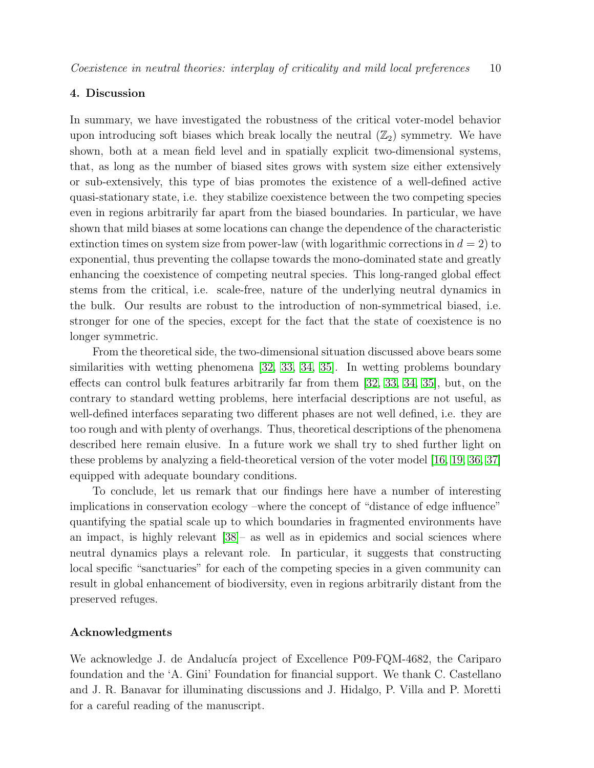# 4. Discussion

In summary, we have investigated the robustness of the critical voter-model behavior upon introducing soft biases which break locally the neutral  $(\mathbb{Z}_2)$  symmetry. We have shown, both at a mean field level and in spatially explicit two-dimensional systems, that, as long as the number of biased sites grows with system size either extensively or sub-extensively, this type of bias promotes the existence of a well-defined active quasi-stationary state, i.e. they stabilize coexistence between the two competing species even in regions arbitrarily far apart from the biased boundaries. In particular, we have shown that mild biases at some locations can change the dependence of the characteristic extinction times on system size from power-law (with logarithmic corrections in  $d = 2$ ) to exponential, thus preventing the collapse towards the mono-dominated state and greatly enhancing the coexistence of competing neutral species. This long-ranged global effect stems from the critical, i.e. scale-free, nature of the underlying neutral dynamics in the bulk. Our results are robust to the introduction of non-symmetrical biased, i.e. stronger for one of the species, except for the fact that the state of coexistence is no longer symmetric.

From the theoretical side, the two-dimensional situation discussed above bears some similarities with wetting phenomena [\[32,](#page-11-6) [33,](#page-11-7) [34,](#page-11-8) [35\]](#page-11-9). In wetting problems boundary effects can control bulk features arbitrarily far from them [\[32,](#page-11-6) [33,](#page-11-7) [34,](#page-11-8) [35\]](#page-11-9), but, on the contrary to standard wetting problems, here interfacial descriptions are not useful, as well-defined interfaces separating two different phases are not well defined, i.e. they are too rough and with plenty of overhangs. Thus, theoretical descriptions of the phenomena described here remain elusive. In a future work we shall try to shed further light on these problems by analyzing a field-theoretical version of the voter model [\[16,](#page-10-15) [19,](#page-10-18) [36,](#page-11-10) [37\]](#page-11-11) equipped with adequate boundary conditions.

To conclude, let us remark that our findings here have a number of interesting implications in conservation ecology –where the concept of "distance of edge influence" quantifying the spatial scale up to which boundaries in fragmented environments have an impact, is highly relevant [\[38\]](#page-11-12)– as well as in epidemics and social sciences where neutral dynamics plays a relevant role. In particular, it suggests that constructing local specific "sanctuaries" for each of the competing species in a given community can result in global enhancement of biodiversity, even in regions arbitrarily distant from the preserved refuges.

### Acknowledgments

We acknowledge J. de Andalucía project of Excellence P09-FQM-4682, the Cariparo foundation and the 'A. Gini' Foundation for financial support. We thank C. Castellano and J. R. Banavar for illuminating discussions and J. Hidalgo, P. Villa and P. Moretti for a careful reading of the manuscript.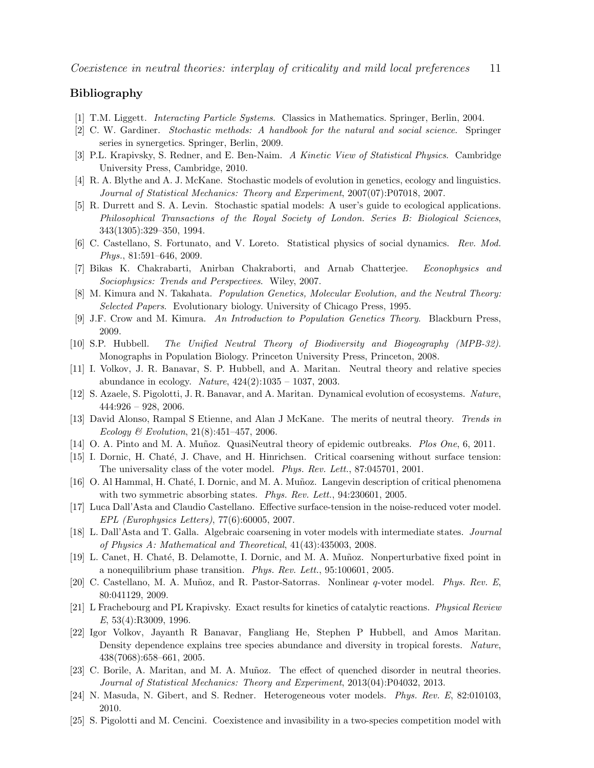# Bibliography

- <span id="page-10-0"></span>[1] T.M. Liggett. Interacting Particle Systems. Classics in Mathematics. Springer, Berlin, 2004.
- <span id="page-10-1"></span>[2] C. W. Gardiner. Stochastic methods: A handbook for the natural and social science. Springer series in synergetics. Springer, Berlin, 2009.
- <span id="page-10-2"></span>[3] P.L. Krapivsky, S. Redner, and E. Ben-Naim. A Kinetic View of Statistical Physics. Cambridge University Press, Cambridge, 2010.
- <span id="page-10-3"></span>[4] R. A. Blythe and A. J. McKane. Stochastic models of evolution in genetics, ecology and linguistics. Journal of Statistical Mechanics: Theory and Experiment, 2007(07):P07018, 2007.
- <span id="page-10-4"></span>[5] R. Durrett and S. A. Levin. Stochastic spatial models: A user's guide to ecological applications. Philosophical Transactions of the Royal Society of London. Series B: Biological Sciences, 343(1305):329–350, 1994.
- <span id="page-10-5"></span>[6] C. Castellano, S. Fortunato, and V. Loreto. Statistical physics of social dynamics. Rev. Mod. Phys., 81:591–646, 2009.
- <span id="page-10-6"></span>[7] Bikas K. Chakrabarti, Anirban Chakraborti, and Arnab Chatterjee. Econophysics and Sociophysics: Trends and Perspectives. Wiley, 2007.
- <span id="page-10-7"></span>[8] M. Kimura and N. Takahata. Population Genetics, Molecular Evolution, and the Neutral Theory: Selected Papers. Evolutionary biology. University of Chicago Press, 1995.
- <span id="page-10-8"></span>[9] J.F. Crow and M. Kimura. An Introduction to Population Genetics Theory. Blackburn Press, 2009.
- <span id="page-10-9"></span>[10] S.P. Hubbell. The Unified Neutral Theory of Biodiversity and Biogeography (MPB-32). Monographs in Population Biology. Princeton University Press, Princeton, 2008.
- <span id="page-10-10"></span>[11] I. Volkov, J. R. Banavar, S. P. Hubbell, and A. Maritan. Neutral theory and relative species abundance in ecology. Nature, 424(2):1035 – 1037, 2003.
- <span id="page-10-11"></span>[12] S. Azaele, S. Pigolotti, J. R. Banavar, and A. Maritan. Dynamical evolution of ecosystems. Nature,  $444:926 - 928$ , 2006.
- <span id="page-10-12"></span>[13] David Alonso, Rampal S Etienne, and Alan J McKane. The merits of neutral theory. Trends in Ecology & Evolution, 21(8):451–457, 2006.
- <span id="page-10-13"></span>[14] O. A. Pinto and M. A. Muñoz. QuasiNeutral theory of epidemic outbreaks. Plos One, 6, 2011.
- <span id="page-10-14"></span>[15] I. Dornic, H. Chaté, J. Chave, and H. Hinrichsen. Critical coarsening without surface tension: The universality class of the voter model. Phys. Rev. Lett., 87:045701, 2001.
- <span id="page-10-15"></span>[16] O. Al Hammal, H. Chaté, I. Dornic, and M. A. Muñoz. Langevin description of critical phenomena with two symmetric absorbing states. Phys. Rev. Lett., 94:230601, 2005.
- <span id="page-10-16"></span>[17] Luca Dall'Asta and Claudio Castellano. Effective surface-tension in the noise-reduced voter model. EPL (Europhysics Letters), 77(6):60005, 2007.
- <span id="page-10-17"></span>[18] L. Dall'Asta and T. Galla. Algebraic coarsening in voter models with intermediate states. Journal of Physics A: Mathematical and Theoretical, 41(43):435003, 2008.
- <span id="page-10-18"></span>[19] L. Canet, H. Chaté, B. Delamotte, I. Dornic, and M. A. Muñoz. Nonperturbative fixed point in a nonequilibrium phase transition. Phys. Rev. Lett., 95:100601, 2005.
- <span id="page-10-19"></span>[20] C. Castellano, M. A. Muñoz, and R. Pastor-Satorras. Nonlinear q-voter model. Phys. Rev. E, 80:041129, 2009.
- <span id="page-10-20"></span>[21] L Frachebourg and PL Krapivsky. Exact results for kinetics of catalytic reactions. Physical Review E, 53(4):R3009, 1996.
- <span id="page-10-21"></span>[22] Igor Volkov, Jayanth R Banavar, Fangliang He, Stephen P Hubbell, and Amos Maritan. Density dependence explains tree species abundance and diversity in tropical forests. Nature, 438(7068):658–661, 2005.
- <span id="page-10-22"></span>[23] C. Borile, A. Maritan, and M. A. Muñoz. The effect of quenched disorder in neutral theories. Journal of Statistical Mechanics: Theory and Experiment, 2013(04):P04032, 2013.
- <span id="page-10-23"></span>[24] N. Masuda, N. Gibert, and S. Redner. Heterogeneous voter models. Phys. Rev. E, 82:010103, 2010.
- <span id="page-10-24"></span>[25] S. Pigolotti and M. Cencini. Coexistence and invasibility in a two-species competition model with